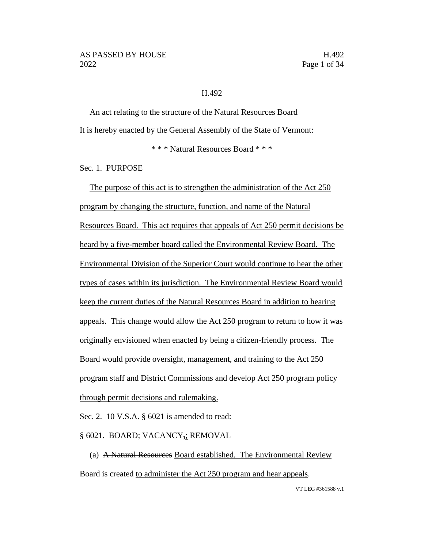#### H.492

An act relating to the structure of the Natural Resources Board It is hereby enacted by the General Assembly of the State of Vermont:

\* \* \* Natural Resources Board \* \* \*

Sec. 1. PURPOSE

The purpose of this act is to strengthen the administration of the Act 250 program by changing the structure, function, and name of the Natural Resources Board. This act requires that appeals of Act 250 permit decisions be heard by a five-member board called the Environmental Review Board. The Environmental Division of the Superior Court would continue to hear the other types of cases within its jurisdiction. The Environmental Review Board would keep the current duties of the Natural Resources Board in addition to hearing appeals. This change would allow the Act 250 program to return to how it was originally envisioned when enacted by being a citizen-friendly process. The Board would provide oversight, management, and training to the Act 250 program staff and District Commissions and develop Act 250 program policy through permit decisions and rulemaking.

Sec. 2. 10 V.S.A. § 6021 is amended to read:

§ 6021. BOARD; VACANCY,; REMOVAL

(a) A Natural Resources Board established. The Environmental Review Board is created to administer the Act 250 program and hear appeals.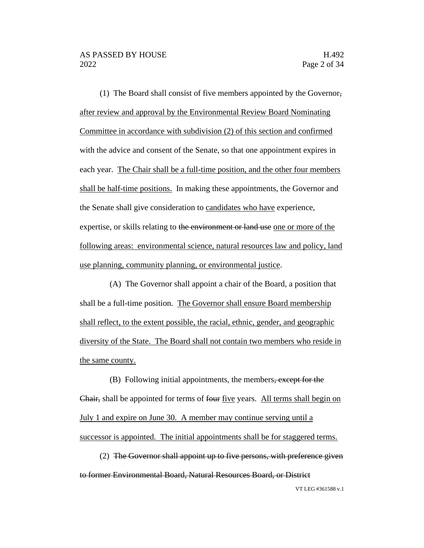(1) The Board shall consist of five members appointed by the Governor, after review and approval by the Environmental Review Board Nominating Committee in accordance with subdivision (2) of this section and confirmed with the advice and consent of the Senate, so that one appointment expires in each year. The Chair shall be a full-time position, and the other four members shall be half-time positions. In making these appointments, the Governor and the Senate shall give consideration to candidates who have experience, expertise, or skills relating to the environment or land use one or more of the following areas: environmental science, natural resources law and policy, land use planning, community planning, or environmental justice.

(A) The Governor shall appoint a chair of the Board, a position that shall be a full-time position. The Governor shall ensure Board membership shall reflect, to the extent possible, the racial, ethnic, gender, and geographic diversity of the State. The Board shall not contain two members who reside in the same county.

(B) Following initial appointments, the members<del>, except for the</del> Chair, shall be appointed for terms of four five years. All terms shall begin on July 1 and expire on June 30. A member may continue serving until a successor is appointed. The initial appointments shall be for staggered terms.

(2) The Governor shall appoint up to five persons, with preference given to former Environmental Board, Natural Resources Board, or District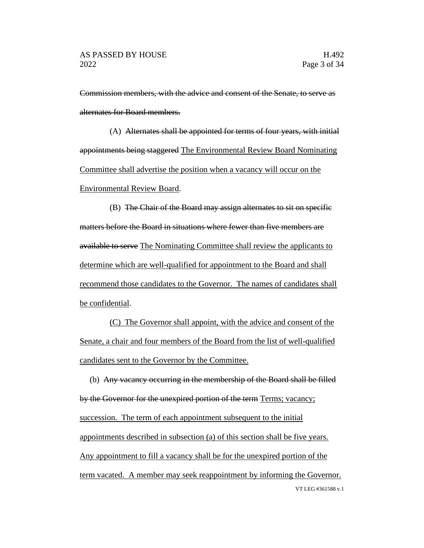Commission members, with the advice and consent of the Senate, to serve as alternates for Board members.

(A) Alternates shall be appointed for terms of four years, with initial appointments being staggered The Environmental Review Board Nominating Committee shall advertise the position when a vacancy will occur on the Environmental Review Board.

(B) The Chair of the Board may assign alternates to sit on specific matters before the Board in situations where fewer than five members are available to serve The Nominating Committee shall review the applicants to determine which are well-qualified for appointment to the Board and shall recommend those candidates to the Governor. The names of candidates shall be confidential.

(C) The Governor shall appoint, with the advice and consent of the Senate, a chair and four members of the Board from the list of well-qualified candidates sent to the Governor by the Committee.

VT LEG #361588 v.1 (b) Any vacancy occurring in the membership of the Board shall be filled by the Governor for the unexpired portion of the term Terms; vacancy; succession. The term of each appointment subsequent to the initial appointments described in subsection (a) of this section shall be five years. Any appointment to fill a vacancy shall be for the unexpired portion of the term vacated. A member may seek reappointment by informing the Governor.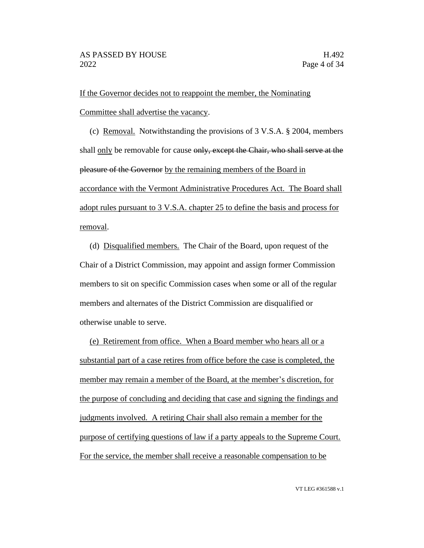If the Governor decides not to reappoint the member, the Nominating Committee shall advertise the vacancy.

(c) Removal. Notwithstanding the provisions of 3 V.S.A. § 2004, members shall only be removable for cause only, except the Chair, who shall serve at the pleasure of the Governor by the remaining members of the Board in accordance with the Vermont Administrative Procedures Act. The Board shall adopt rules pursuant to 3 V.S.A. chapter 25 to define the basis and process for removal.

(d) Disqualified members. The Chair of the Board, upon request of the Chair of a District Commission, may appoint and assign former Commission members to sit on specific Commission cases when some or all of the regular members and alternates of the District Commission are disqualified or otherwise unable to serve.

(e) Retirement from office. When a Board member who hears all or a substantial part of a case retires from office before the case is completed, the member may remain a member of the Board, at the member's discretion, for the purpose of concluding and deciding that case and signing the findings and judgments involved. A retiring Chair shall also remain a member for the purpose of certifying questions of law if a party appeals to the Supreme Court. For the service, the member shall receive a reasonable compensation to be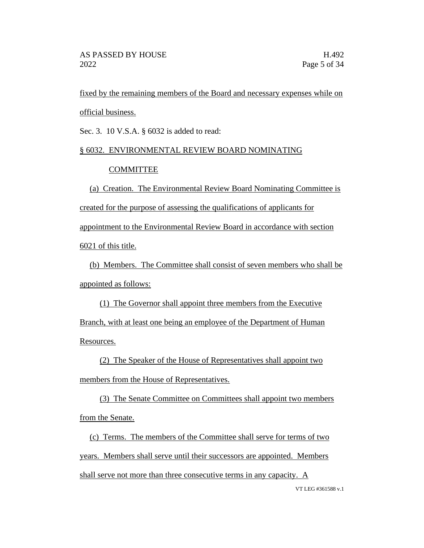fixed by the remaining members of the Board and necessary expenses while on official business.

Sec. 3. 10 V.S.A. § 6032 is added to read:

# § 6032. ENVIRONMENTAL REVIEW BOARD NOMINATING

# COMMITTEE

(a) Creation. The Environmental Review Board Nominating Committee is created for the purpose of assessing the qualifications of applicants for appointment to the Environmental Review Board in accordance with section 6021 of this title.

(b) Members. The Committee shall consist of seven members who shall be appointed as follows:

(1) The Governor shall appoint three members from the Executive Branch, with at least one being an employee of the Department of Human Resources.

(2) The Speaker of the House of Representatives shall appoint two members from the House of Representatives.

(3) The Senate Committee on Committees shall appoint two members from the Senate.

(c) Terms. The members of the Committee shall serve for terms of two years. Members shall serve until their successors are appointed. Members shall serve not more than three consecutive terms in any capacity. A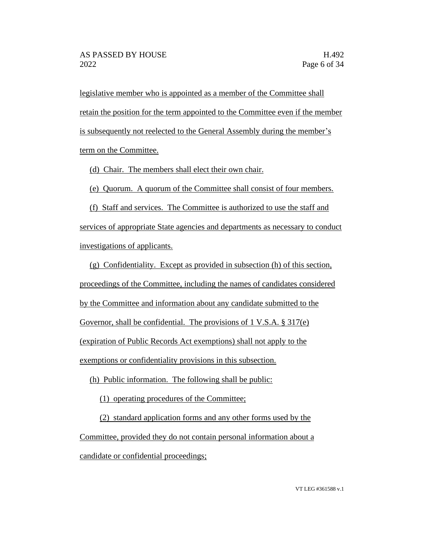legislative member who is appointed as a member of the Committee shall retain the position for the term appointed to the Committee even if the member is subsequently not reelected to the General Assembly during the member's term on the Committee.

(d) Chair. The members shall elect their own chair.

(e) Quorum. A quorum of the Committee shall consist of four members.

(f) Staff and services. The Committee is authorized to use the staff and services of appropriate State agencies and departments as necessary to conduct investigations of applicants.

(g) Confidentiality. Except as provided in subsection (h) of this section, proceedings of the Committee, including the names of candidates considered by the Committee and information about any candidate submitted to the Governor, shall be confidential. The provisions of 1 V.S.A. § 317(e) (expiration of Public Records Act exemptions) shall not apply to the exemptions or confidentiality provisions in this subsection.

(h) Public information. The following shall be public:

(1) operating procedures of the Committee;

(2) standard application forms and any other forms used by the Committee, provided they do not contain personal information about a candidate or confidential proceedings;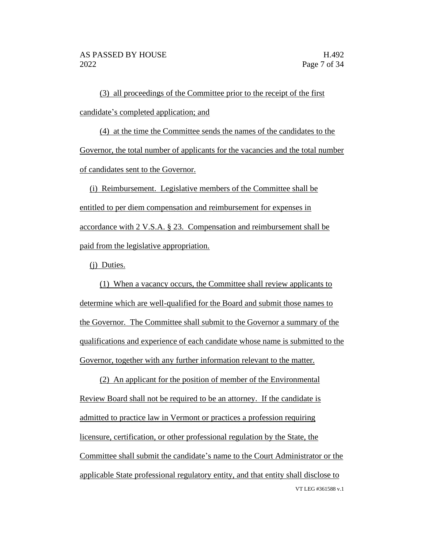(3) all proceedings of the Committee prior to the receipt of the first candidate's completed application; and

(4) at the time the Committee sends the names of the candidates to the Governor, the total number of applicants for the vacancies and the total number of candidates sent to the Governor.

(i) Reimbursement. Legislative members of the Committee shall be entitled to per diem compensation and reimbursement for expenses in accordance with 2 V.S.A. § 23. Compensation and reimbursement shall be paid from the legislative appropriation.

(j) Duties.

(1) When a vacancy occurs, the Committee shall review applicants to determine which are well-qualified for the Board and submit those names to the Governor. The Committee shall submit to the Governor a summary of the qualifications and experience of each candidate whose name is submitted to the Governor, together with any further information relevant to the matter.

VT LEG #361588 v.1 (2) An applicant for the position of member of the Environmental Review Board shall not be required to be an attorney. If the candidate is admitted to practice law in Vermont or practices a profession requiring licensure, certification, or other professional regulation by the State, the Committee shall submit the candidate's name to the Court Administrator or the applicable State professional regulatory entity, and that entity shall disclose to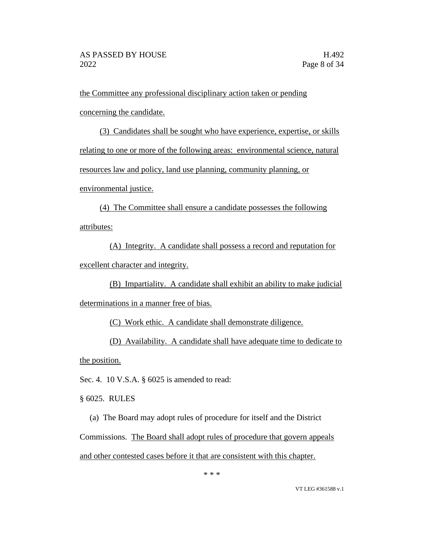the Committee any professional disciplinary action taken or pending concerning the candidate.

(3) Candidates shall be sought who have experience, expertise, or skills relating to one or more of the following areas: environmental science, natural resources law and policy, land use planning, community planning, or environmental justice.

(4) The Committee shall ensure a candidate possesses the following attributes:

(A) Integrity. A candidate shall possess a record and reputation for excellent character and integrity.

(B) Impartiality. A candidate shall exhibit an ability to make judicial determinations in a manner free of bias.

(C) Work ethic. A candidate shall demonstrate diligence.

(D) Availability. A candidate shall have adequate time to dedicate to the position.

Sec. 4. 10 V.S.A. § 6025 is amended to read:

§ 6025. RULES

(a) The Board may adopt rules of procedure for itself and the District

Commissions. The Board shall adopt rules of procedure that govern appeals

and other contested cases before it that are consistent with this chapter.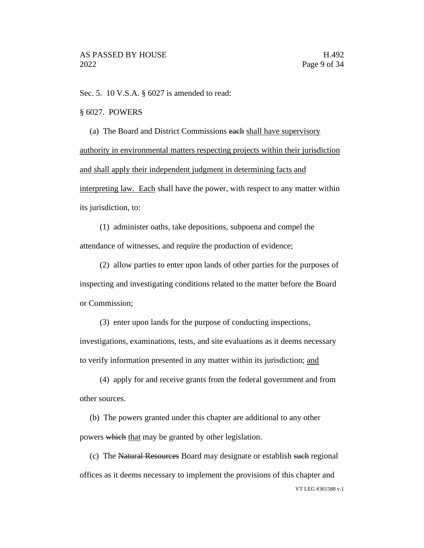Sec. 5. 10 V.S.A. § 6027 is amended to read:

#### § 6027. POWERS

(a) The Board and District Commissions each shall have supervisory authority in environmental matters respecting projects within their jurisdiction and shall apply their independent judgment in determining facts and interpreting law. Each shall have the power, with respect to any matter within its jurisdiction, to:

(1) administer oaths, take depositions, subpoena and compel the attendance of witnesses, and require the production of evidence;

(2) allow parties to enter upon lands of other parties for the purposes of inspecting and investigating conditions related to the matter before the Board or Commission;

(3) enter upon lands for the purpose of conducting inspections, investigations, examinations, tests, and site evaluations as it deems necessary to verify information presented in any matter within its jurisdiction; and

(4) apply for and receive grants from the federal government and from other sources.

(b) The powers granted under this chapter are additional to any other powers which that may be granted by other legislation.

VT LEG #361588 v.1 (c) The Natural Resources Board may designate or establish such regional offices as it deems necessary to implement the provisions of this chapter and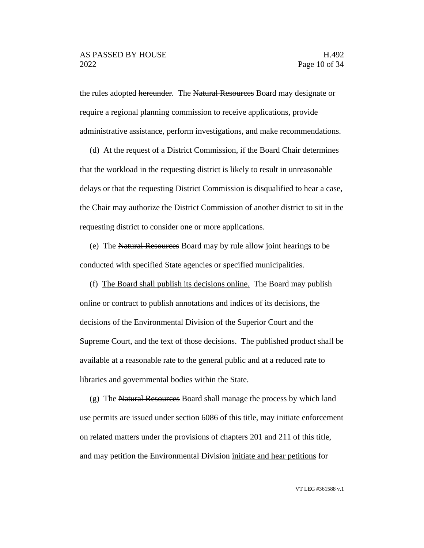the rules adopted hereunder. The Natural Resources Board may designate or require a regional planning commission to receive applications, provide administrative assistance, perform investigations, and make recommendations.

(d) At the request of a District Commission, if the Board Chair determines that the workload in the requesting district is likely to result in unreasonable delays or that the requesting District Commission is disqualified to hear a case, the Chair may authorize the District Commission of another district to sit in the requesting district to consider one or more applications.

(e) The Natural Resources Board may by rule allow joint hearings to be conducted with specified State agencies or specified municipalities.

(f) The Board shall publish its decisions online. The Board may publish online or contract to publish annotations and indices of its decisions, the decisions of the Environmental Division of the Superior Court and the Supreme Court, and the text of those decisions. The published product shall be available at a reasonable rate to the general public and at a reduced rate to libraries and governmental bodies within the State.

(g) The Natural Resources Board shall manage the process by which land use permits are issued under section 6086 of this title, may initiate enforcement on related matters under the provisions of chapters 201 and 211 of this title, and may petition the Environmental Division initiate and hear petitions for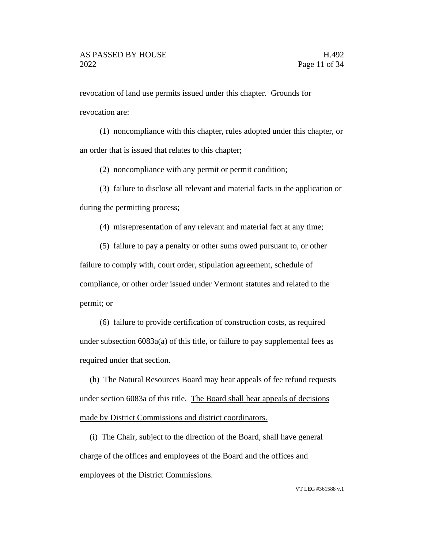revocation of land use permits issued under this chapter. Grounds for revocation are:

(1) noncompliance with this chapter, rules adopted under this chapter, or an order that is issued that relates to this chapter;

(2) noncompliance with any permit or permit condition;

(3) failure to disclose all relevant and material facts in the application or during the permitting process;

(4) misrepresentation of any relevant and material fact at any time;

(5) failure to pay a penalty or other sums owed pursuant to, or other failure to comply with, court order, stipulation agreement, schedule of compliance, or other order issued under Vermont statutes and related to the permit; or

(6) failure to provide certification of construction costs, as required under subsection 6083a(a) of this title, or failure to pay supplemental fees as required under that section.

(h) The Natural Resources Board may hear appeals of fee refund requests under section 6083a of this title. The Board shall hear appeals of decisions made by District Commissions and district coordinators.

(i) The Chair, subject to the direction of the Board, shall have general charge of the offices and employees of the Board and the offices and employees of the District Commissions.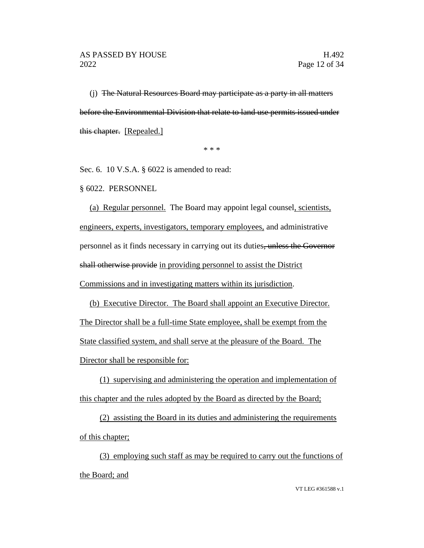(j) The Natural Resources Board may participate as a party in all matters before the Environmental Division that relate to land use permits issued under this chapter. [Repealed.]

\* \* \*

Sec. 6. 10 V.S.A. § 6022 is amended to read:

§ 6022. PERSONNEL

(a) Regular personnel. The Board may appoint legal counsel, scientists, engineers, experts, investigators, temporary employees, and administrative personnel as it finds necessary in carrying out its duties, unless the Governor shall otherwise provide in providing personnel to assist the District Commissions and in investigating matters within its jurisdiction.

(b) Executive Director. The Board shall appoint an Executive Director. The Director shall be a full-time State employee, shall be exempt from the State classified system, and shall serve at the pleasure of the Board. The Director shall be responsible for:

(1) supervising and administering the operation and implementation of this chapter and the rules adopted by the Board as directed by the Board;

(2) assisting the Board in its duties and administering the requirements of this chapter;

(3) employing such staff as may be required to carry out the functions of the Board; and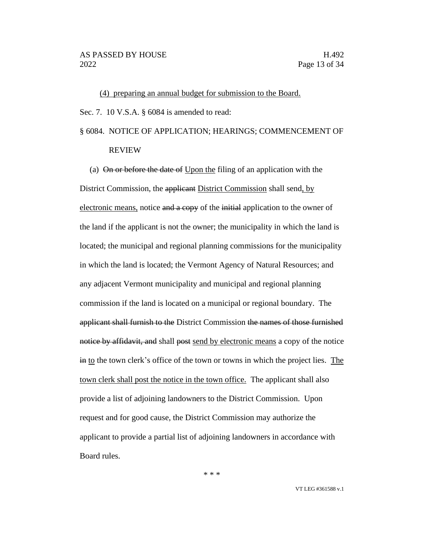(4) preparing an annual budget for submission to the Board. Sec. 7. 10 V.S.A. § 6084 is amended to read: § 6084. NOTICE OF APPLICATION; HEARINGS; COMMENCEMENT OF

### REVIEW

(a)  $\Theta$  in or before the date of Upon the filing of an application with the District Commission, the applicant District Commission shall send, by electronic means, notice and a copy of the initial application to the owner of the land if the applicant is not the owner; the municipality in which the land is located; the municipal and regional planning commissions for the municipality in which the land is located; the Vermont Agency of Natural Resources; and any adjacent Vermont municipality and municipal and regional planning commission if the land is located on a municipal or regional boundary. The applicant shall furnish to the District Commission the names of those furnished notice by affidavit, and shall post send by electronic means a copy of the notice in to the town clerk's office of the town or towns in which the project lies. The town clerk shall post the notice in the town office. The applicant shall also provide a list of adjoining landowners to the District Commission. Upon request and for good cause, the District Commission may authorize the applicant to provide a partial list of adjoining landowners in accordance with Board rules.

\* \* \*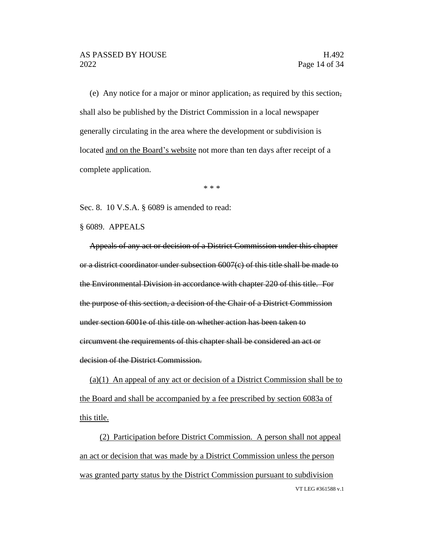(e) Any notice for a major or minor application, as required by this section, shall also be published by the District Commission in a local newspaper generally circulating in the area where the development or subdivision is located and on the Board's website not more than ten days after receipt of a complete application.

\* \* \*

Sec. 8. 10 V.S.A. § 6089 is amended to read:

§ 6089. APPEALS

Appeals of any act or decision of a District Commission under this chapter or a district coordinator under subsection 6007(c) of this title shall be made to the Environmental Division in accordance with chapter 220 of this title. For the purpose of this section, a decision of the Chair of a District Commission under section 6001e of this title on whether action has been taken to circumvent the requirements of this chapter shall be considered an act or decision of the District Commission.

(a)(1) An appeal of any act or decision of a District Commission shall be to the Board and shall be accompanied by a fee prescribed by section 6083a of this title.

VT LEG #361588 v.1 (2) Participation before District Commission. A person shall not appeal an act or decision that was made by a District Commission unless the person was granted party status by the District Commission pursuant to subdivision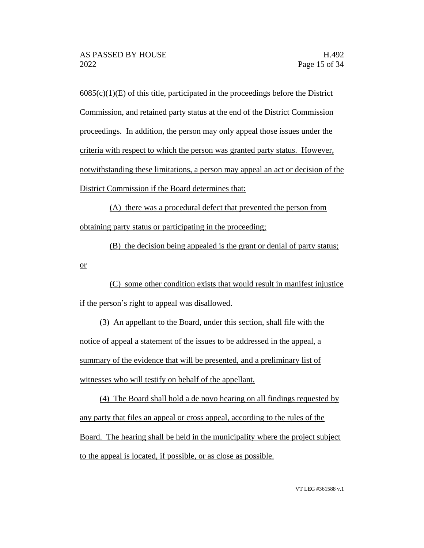or

 $6085(c)(1)(E)$  of this title, participated in the proceedings before the District Commission, and retained party status at the end of the District Commission proceedings. In addition, the person may only appeal those issues under the criteria with respect to which the person was granted party status. However, notwithstanding these limitations, a person may appeal an act or decision of the District Commission if the Board determines that:

(A) there was a procedural defect that prevented the person from obtaining party status or participating in the proceeding;

(B) the decision being appealed is the grant or denial of party status;

(C) some other condition exists that would result in manifest injustice if the person's right to appeal was disallowed.

(3) An appellant to the Board, under this section, shall file with the notice of appeal a statement of the issues to be addressed in the appeal, a summary of the evidence that will be presented, and a preliminary list of witnesses who will testify on behalf of the appellant.

(4) The Board shall hold a de novo hearing on all findings requested by any party that files an appeal or cross appeal, according to the rules of the Board. The hearing shall be held in the municipality where the project subject to the appeal is located, if possible, or as close as possible.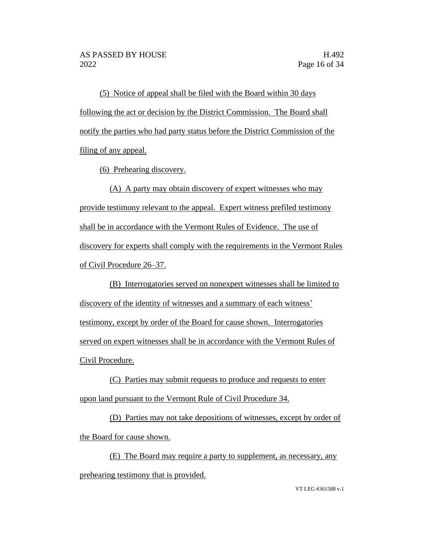(5) Notice of appeal shall be filed with the Board within 30 days following the act or decision by the District Commission. The Board shall notify the parties who had party status before the District Commission of the filing of any appeal.

(6) Prehearing discovery.

(A) A party may obtain discovery of expert witnesses who may provide testimony relevant to the appeal. Expert witness prefiled testimony shall be in accordance with the Vermont Rules of Evidence. The use of discovery for experts shall comply with the requirements in the Vermont Rules of Civil Procedure 26–37.

(B) Interrogatories served on nonexpert witnesses shall be limited to discovery of the identity of witnesses and a summary of each witness' testimony, except by order of the Board for cause shown. Interrogatories served on expert witnesses shall be in accordance with the Vermont Rules of Civil Procedure.

(C) Parties may submit requests to produce and requests to enter upon land pursuant to the Vermont Rule of Civil Procedure 34.

(D) Parties may not take depositions of witnesses, except by order of the Board for cause shown.

(E) The Board may require a party to supplement, as necessary, any prehearing testimony that is provided.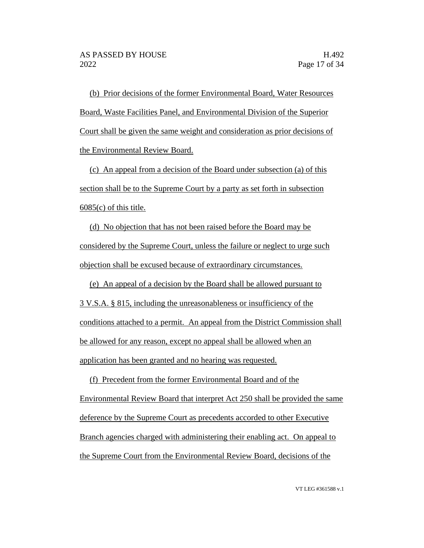(b) Prior decisions of the former Environmental Board, Water Resources Board, Waste Facilities Panel, and Environmental Division of the Superior Court shall be given the same weight and consideration as prior decisions of the Environmental Review Board.

(c) An appeal from a decision of the Board under subsection (a) of this section shall be to the Supreme Court by a party as set forth in subsection  $6085(c)$  of this title.

(d) No objection that has not been raised before the Board may be considered by the Supreme Court, unless the failure or neglect to urge such objection shall be excused because of extraordinary circumstances.

(e) An appeal of a decision by the Board shall be allowed pursuant to 3 V.S.A. § 815, including the unreasonableness or insufficiency of the conditions attached to a permit. An appeal from the District Commission shall be allowed for any reason, except no appeal shall be allowed when an application has been granted and no hearing was requested.

(f) Precedent from the former Environmental Board and of the Environmental Review Board that interpret Act 250 shall be provided the same deference by the Supreme Court as precedents accorded to other Executive Branch agencies charged with administering their enabling act. On appeal to the Supreme Court from the Environmental Review Board, decisions of the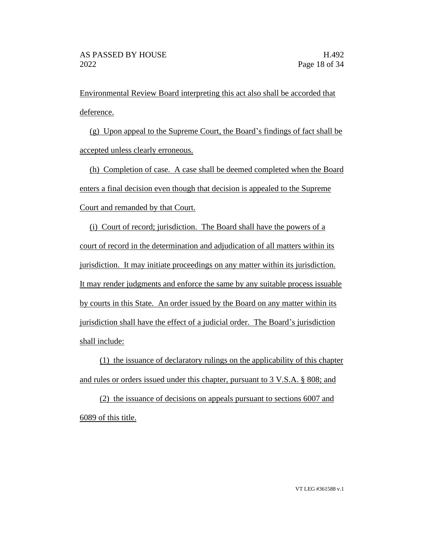Environmental Review Board interpreting this act also shall be accorded that deference.

(g) Upon appeal to the Supreme Court, the Board's findings of fact shall be accepted unless clearly erroneous.

(h) Completion of case. A case shall be deemed completed when the Board enters a final decision even though that decision is appealed to the Supreme Court and remanded by that Court.

(i) Court of record; jurisdiction. The Board shall have the powers of a court of record in the determination and adjudication of all matters within its jurisdiction. It may initiate proceedings on any matter within its jurisdiction. It may render judgments and enforce the same by any suitable process issuable by courts in this State. An order issued by the Board on any matter within its jurisdiction shall have the effect of a judicial order. The Board's jurisdiction shall include:

(1) the issuance of declaratory rulings on the applicability of this chapter and rules or orders issued under this chapter, pursuant to 3 V.S.A. § 808; and

(2) the issuance of decisions on appeals pursuant to sections 6007 and 6089 of this title.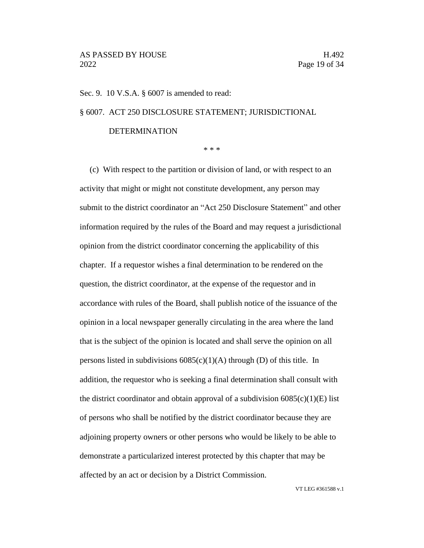Sec. 9. 10 V.S.A. § 6007 is amended to read:

# § 6007. ACT 250 DISCLOSURE STATEMENT; JURISDICTIONAL

## DETERMINATION

\* \* \*

(c) With respect to the partition or division of land, or with respect to an activity that might or might not constitute development, any person may submit to the district coordinator an "Act 250 Disclosure Statement" and other information required by the rules of the Board and may request a jurisdictional opinion from the district coordinator concerning the applicability of this chapter. If a requestor wishes a final determination to be rendered on the question, the district coordinator, at the expense of the requestor and in accordance with rules of the Board, shall publish notice of the issuance of the opinion in a local newspaper generally circulating in the area where the land that is the subject of the opinion is located and shall serve the opinion on all persons listed in subdivisions  $6085(c)(1)(A)$  through (D) of this title. In addition, the requestor who is seeking a final determination shall consult with the district coordinator and obtain approval of a subdivision  $6085(c)(1)(E)$  list of persons who shall be notified by the district coordinator because they are adjoining property owners or other persons who would be likely to be able to demonstrate a particularized interest protected by this chapter that may be affected by an act or decision by a District Commission.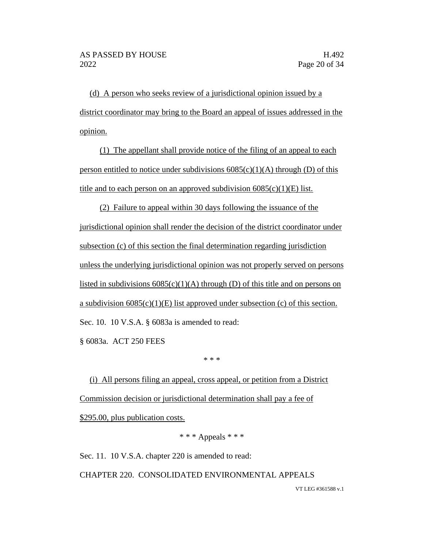(d) A person who seeks review of a jurisdictional opinion issued by a district coordinator may bring to the Board an appeal of issues addressed in the opinion.

(1) The appellant shall provide notice of the filing of an appeal to each person entitled to notice under subdivisions  $6085(c)(1)(A)$  through (D) of this title and to each person on an approved subdivision  $6085(c)(1)(E)$  list.

(2) Failure to appeal within 30 days following the issuance of the jurisdictional opinion shall render the decision of the district coordinator under subsection (c) of this section the final determination regarding jurisdiction unless the underlying jurisdictional opinion was not properly served on persons listed in subdivisions  $6085(c)(1)(A)$  through (D) of this title and on persons on a subdivision  $6085(c)(1)(E)$  list approved under subsection (c) of this section. Sec. 10. 10 V.S.A. § 6083a is amended to read: § 6083a. ACT 250 FEES

\* \* \*

(i) All persons filing an appeal, cross appeal, or petition from a District Commission decision or jurisdictional determination shall pay a fee of \$295.00, plus publication costs.

\* \* \* Appeals \* \* \*

Sec. 11. 10 V.S.A. chapter 220 is amended to read:

CHAPTER 220. CONSOLIDATED ENVIRONMENTAL APPEALS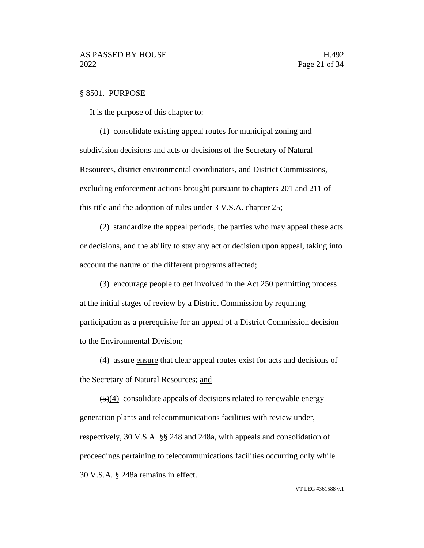#### § 8501. PURPOSE

It is the purpose of this chapter to:

(1) consolidate existing appeal routes for municipal zoning and subdivision decisions and acts or decisions of the Secretary of Natural Resources, district environmental coordinators, and District Commissions, excluding enforcement actions brought pursuant to chapters 201 and 211 of this title and the adoption of rules under 3 V.S.A. chapter 25;

(2) standardize the appeal periods, the parties who may appeal these acts or decisions, and the ability to stay any act or decision upon appeal, taking into account the nature of the different programs affected;

(3) encourage people to get involved in the Act 250 permitting process at the initial stages of review by a District Commission by requiring participation as a prerequisite for an appeal of a District Commission decision to the Environmental Division;

(4) assure ensure that clear appeal routes exist for acts and decisions of the Secretary of Natural Resources; and

 $\left(5\right)(4)$  consolidate appeals of decisions related to renewable energy generation plants and telecommunications facilities with review under, respectively, 30 V.S.A. §§ 248 and 248a, with appeals and consolidation of proceedings pertaining to telecommunications facilities occurring only while 30 V.S.A. § 248a remains in effect.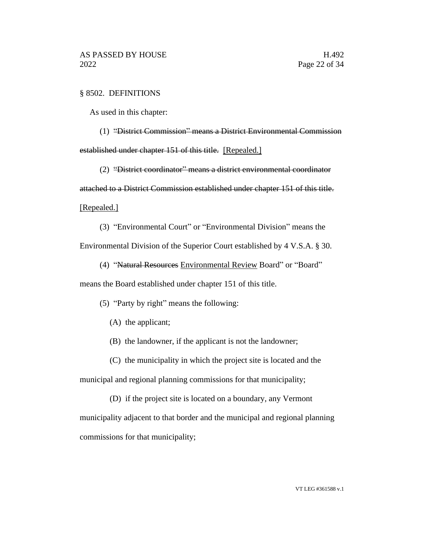#### § 8502. DEFINITIONS

As used in this chapter:

(1) "District Commission" means a District Environmental Commission established under chapter 151 of this title. [Repealed.]

(2) "District coordinator" means a district environmental coordinator attached to a District Commission established under chapter 151 of this title. [Repealed.]

(3) "Environmental Court" or "Environmental Division" means the

Environmental Division of the Superior Court established by 4 V.S.A. § 30.

(4) "Natural Resources Environmental Review Board" or "Board"

means the Board established under chapter 151 of this title.

- (5) "Party by right" means the following:
	- (A) the applicant;
	- (B) the landowner, if the applicant is not the landowner;
	- (C) the municipality in which the project site is located and the

municipal and regional planning commissions for that municipality;

(D) if the project site is located on a boundary, any Vermont municipality adjacent to that border and the municipal and regional planning commissions for that municipality;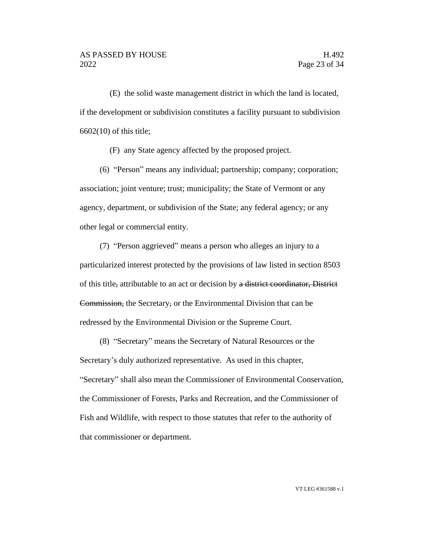(E) the solid waste management district in which the land is located, if the development or subdivision constitutes a facility pursuant to subdivision 6602(10) of this title;

(F) any State agency affected by the proposed project.

(6) "Person" means any individual; partnership; company; corporation; association; joint venture; trust; municipality; the State of Vermont or any agency, department, or subdivision of the State; any federal agency; or any other legal or commercial entity.

(7) "Person aggrieved" means a person who alleges an injury to a particularized interest protected by the provisions of law listed in section 8503 of this title, attributable to an act or decision by a district coordinator, District Commission, the Secretary, or the Environmental Division that can be redressed by the Environmental Division or the Supreme Court.

(8) "Secretary" means the Secretary of Natural Resources or the Secretary's duly authorized representative. As used in this chapter, "Secretary" shall also mean the Commissioner of Environmental Conservation, the Commissioner of Forests, Parks and Recreation, and the Commissioner of Fish and Wildlife, with respect to those statutes that refer to the authority of that commissioner or department.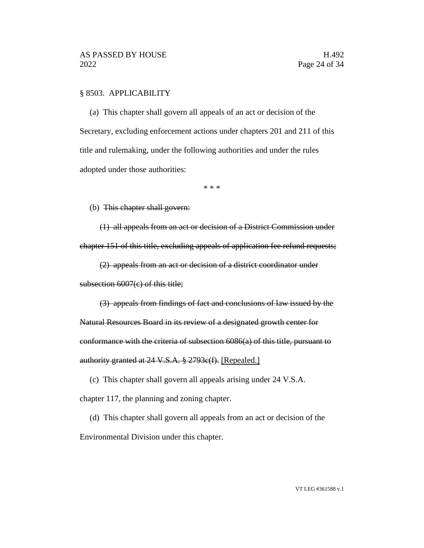## § 8503. APPLICABILITY

(a) This chapter shall govern all appeals of an act or decision of the Secretary, excluding enforcement actions under chapters 201 and 211 of this title and rulemaking, under the following authorities and under the rules adopted under those authorities:

\* \* \*

(b) This chapter shall govern:

(1) all appeals from an act or decision of a District Commission under chapter 151 of this title, excluding appeals of application fee refund requests;

(2) appeals from an act or decision of a district coordinator under

subsection 6007(c) of this title;

(3) appeals from findings of fact and conclusions of law issued by the Natural Resources Board in its review of a designated growth center for conformance with the criteria of subsection 6086(a) of this title, pursuant to authority granted at 24 V.S.A. § 2793c(f). [Repealed.]

(c) This chapter shall govern all appeals arising under 24 V.S.A.

chapter 117, the planning and zoning chapter.

(d) This chapter shall govern all appeals from an act or decision of the Environmental Division under this chapter.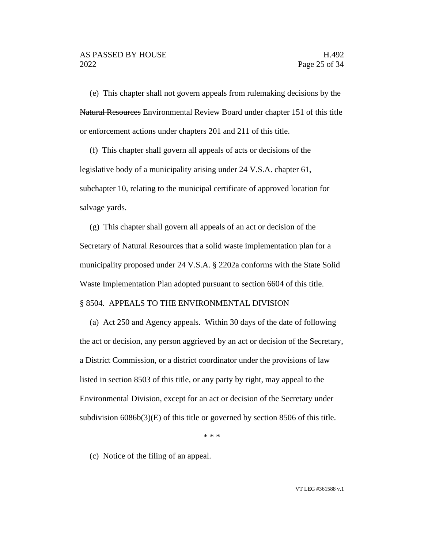(e) This chapter shall not govern appeals from rulemaking decisions by the Natural Resources Environmental Review Board under chapter 151 of this title or enforcement actions under chapters 201 and 211 of this title.

(f) This chapter shall govern all appeals of acts or decisions of the legislative body of a municipality arising under 24 V.S.A. chapter 61, subchapter 10, relating to the municipal certificate of approved location for salvage yards.

(g) This chapter shall govern all appeals of an act or decision of the Secretary of Natural Resources that a solid waste implementation plan for a municipality proposed under 24 V.S.A. § 2202a conforms with the State Solid Waste Implementation Plan adopted pursuant to section 6604 of this title. § 8504. APPEALS TO THE ENVIRONMENTAL DIVISION

(a) Act 250 and Agency appeals. Within 30 days of the date of following the act or decision, any person aggrieved by an act or decision of the Secretary, a District Commission, or a district coordinator under the provisions of law listed in section 8503 of this title, or any party by right, may appeal to the Environmental Division, except for an act or decision of the Secretary under subdivision 6086b(3)(E) of this title or governed by section 8506 of this title.

\* \* \*

(c) Notice of the filing of an appeal.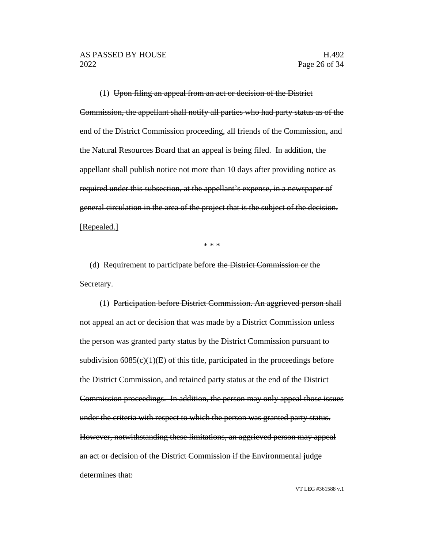(1) Upon filing an appeal from an act or decision of the District Commission, the appellant shall notify all parties who had party status as of the end of the District Commission proceeding, all friends of the Commission, and the Natural Resources Board that an appeal is being filed. In addition, the appellant shall publish notice not more than 10 days after providing notice as required under this subsection, at the appellant's expense, in a newspaper of general circulation in the area of the project that is the subject of the decision. [Repealed.]

\* \* \*

(d) Requirement to participate before the District Commission or the Secretary.

(1) Participation before District Commission. An aggrieved person shall not appeal an act or decision that was made by a District Commission unless the person was granted party status by the District Commission pursuant to subdivision  $6085(c)(1)(E)$  of this title, participated in the proceedings before the District Commission, and retained party status at the end of the District Commission proceedings. In addition, the person may only appeal those issues under the criteria with respect to which the person was granted party status. However, notwithstanding these limitations, an aggrieved person may appeal an act or decision of the District Commission if the Environmental judge determines that: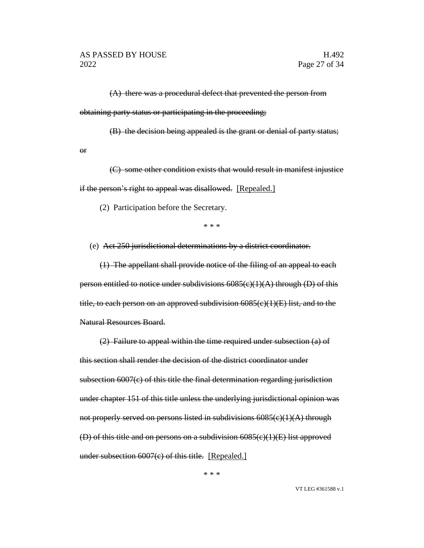or

(A) there was a procedural defect that prevented the person from obtaining party status or participating in the proceeding;

(B) the decision being appealed is the grant or denial of party status;

(C) some other condition exists that would result in manifest injustice if the person's right to appeal was disallowed. [Repealed.]

(2) Participation before the Secretary.

\* \* \*

(e) Act 250 jurisdictional determinations by a district coordinator.

(1) The appellant shall provide notice of the filing of an appeal to each person entitled to notice under subdivisions  $6085(c)(1)(A)$  through (D) of this title, to each person on an approved subdivision  $6085(c)(1)(E)$  list, and to the Natural Resources Board.

(2) Failure to appeal within the time required under subsection (a) of this section shall render the decision of the district coordinator under subsection 6007(c) of this title the final determination regarding jurisdiction under chapter 151 of this title unless the underlying jurisdictional opinion was not properly served on persons listed in subdivisions  $6085(c)(1)(A)$  through (D) of this title and on persons on a subdivision  $6085(c)(1)(E)$  list approved under subsection 6007(c) of this title. [Repealed.]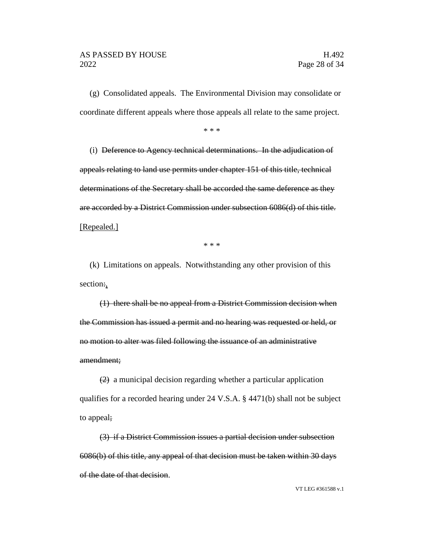(g) Consolidated appeals. The Environmental Division may consolidate or coordinate different appeals where those appeals all relate to the same project.

\* \* \*

(i) Deference to Agency technical determinations. In the adjudication of appeals relating to land use permits under chapter 151 of this title, technical determinations of the Secretary shall be accorded the same deference as they are accorded by a District Commission under subsection 6086(d) of this title. [Repealed.]

\* \* \*

(k) Limitations on appeals. Notwithstanding any other provision of this section:,

(1) there shall be no appeal from a District Commission decision when the Commission has issued a permit and no hearing was requested or held, or no motion to alter was filed following the issuance of an administrative amendment;

(2) a municipal decision regarding whether a particular application qualifies for a recorded hearing under 24 V.S.A. § 4471(b) shall not be subject to appeal;

(3) if a District Commission issues a partial decision under subsection 6086(b) of this title, any appeal of that decision must be taken within 30 days of the date of that decision.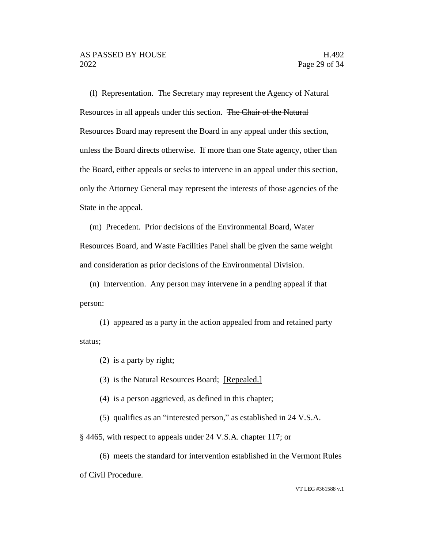(l) Representation. The Secretary may represent the Agency of Natural Resources in all appeals under this section. The Chair of the Natural Resources Board may represent the Board in any appeal under this section, unless the Board directs otherwise. If more than one State agency, other than the Board, either appeals or seeks to intervene in an appeal under this section, only the Attorney General may represent the interests of those agencies of the State in the appeal.

(m) Precedent. Prior decisions of the Environmental Board, Water Resources Board, and Waste Facilities Panel shall be given the same weight and consideration as prior decisions of the Environmental Division.

(n) Intervention. Any person may intervene in a pending appeal if that person:

(1) appeared as a party in the action appealed from and retained party status;

(2) is a party by right;

(3) is the Natural Resources Board; [Repealed.]

(4) is a person aggrieved, as defined in this chapter;

(5) qualifies as an "interested person," as established in 24 V.S.A.

§ 4465, with respect to appeals under 24 V.S.A. chapter 117; or

(6) meets the standard for intervention established in the Vermont Rules of Civil Procedure.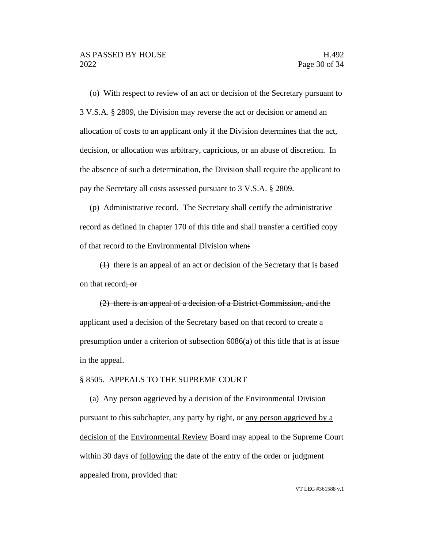(o) With respect to review of an act or decision of the Secretary pursuant to 3 V.S.A. § 2809, the Division may reverse the act or decision or amend an allocation of costs to an applicant only if the Division determines that the act, decision, or allocation was arbitrary, capricious, or an abuse of discretion. In the absence of such a determination, the Division shall require the applicant to pay the Secretary all costs assessed pursuant to 3 V.S.A. § 2809.

(p) Administrative record. The Secretary shall certify the administrative record as defined in chapter 170 of this title and shall transfer a certified copy of that record to the Environmental Division when:

(1) there is an appeal of an act or decision of the Secretary that is based on that record; or

(2) there is an appeal of a decision of a District Commission, and the applicant used a decision of the Secretary based on that record to create a presumption under a criterion of subsection  $6086(a)$  of this title that is at issue in the appeal.

#### § 8505. APPEALS TO THE SUPREME COURT

(a) Any person aggrieved by a decision of the Environmental Division pursuant to this subchapter, any party by right, or any person aggrieved by a decision of the Environmental Review Board may appeal to the Supreme Court within 30 days of following the date of the entry of the order or judgment appealed from, provided that: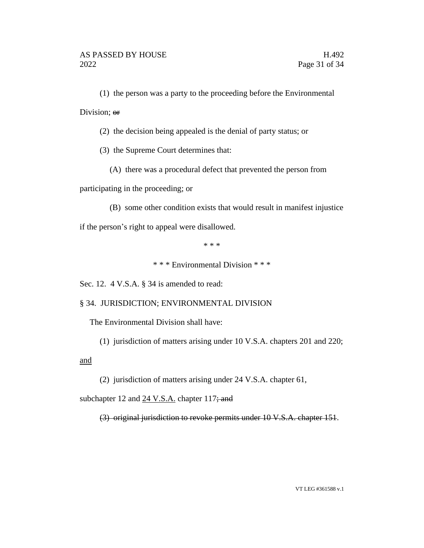(1) the person was a party to the proceeding before the Environmental Division; or

(2) the decision being appealed is the denial of party status; or

(3) the Supreme Court determines that:

(A) there was a procedural defect that prevented the person from

participating in the proceeding; or

(B) some other condition exists that would result in manifest injustice

if the person's right to appeal were disallowed.

\* \* \*

\* \* \* Environmental Division \* \* \*

Sec. 12. 4 V.S.A. § 34 is amended to read:

#### § 34. JURISDICTION; ENVIRONMENTAL DIVISION

The Environmental Division shall have:

(1) jurisdiction of matters arising under 10 V.S.A. chapters 201 and 220;

and

(2) jurisdiction of matters arising under 24 V.S.A. chapter 61,

subchapter 12 and 24 V.S.A. chapter 117; and

(3) original jurisdiction to revoke permits under 10 V.S.A. chapter 151.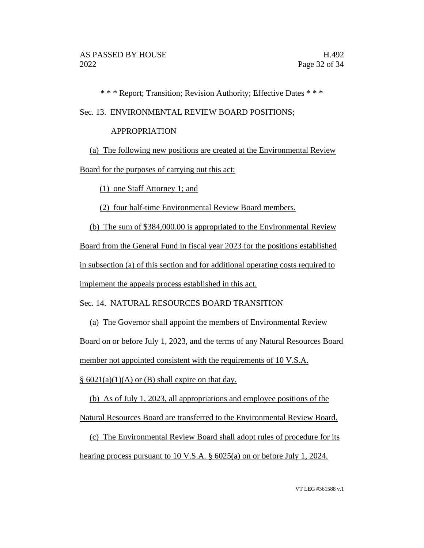\* \* \* Report; Transition; Revision Authority; Effective Dates \* \* \*

Sec. 13. ENVIRONMENTAL REVIEW BOARD POSITIONS;

# APPROPRIATION

(a) The following new positions are created at the Environmental Review Board for the purposes of carrying out this act:

(1) one Staff Attorney 1; and

(2) four half-time Environmental Review Board members.

(b) The sum of \$384,000.00 is appropriated to the Environmental Review Board from the General Fund in fiscal year 2023 for the positions established in subsection (a) of this section and for additional operating costs required to implement the appeals process established in this act.

Sec. 14. NATURAL RESOURCES BOARD TRANSITION

(a) The Governor shall appoint the members of Environmental Review

Board on or before July 1, 2023, and the terms of any Natural Resources Board

member not appointed consistent with the requirements of 10 V.S.A.

 $\S$  6021(a)(1)(A) or (B) shall expire on that day.

(b) As of July 1, 2023, all appropriations and employee positions of the Natural Resources Board are transferred to the Environmental Review Board.

(c) The Environmental Review Board shall adopt rules of procedure for its hearing process pursuant to 10 V.S.A. § 6025(a) on or before July 1, 2024.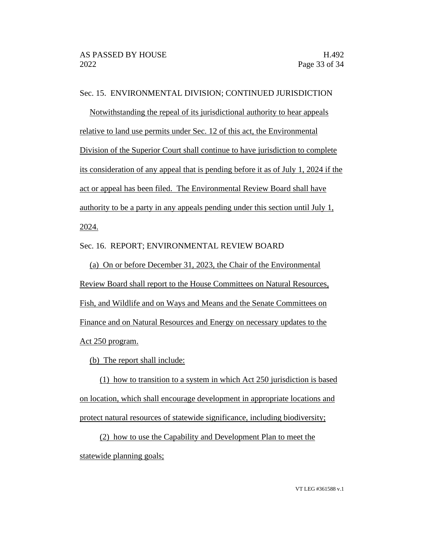# Sec. 15. ENVIRONMENTAL DIVISION; CONTINUED JURISDICTION

Notwithstanding the repeal of its jurisdictional authority to hear appeals relative to land use permits under Sec. 12 of this act, the Environmental Division of the Superior Court shall continue to have jurisdiction to complete its consideration of any appeal that is pending before it as of July 1, 2024 if the act or appeal has been filed. The Environmental Review Board shall have authority to be a party in any appeals pending under this section until July 1, 2024.

Sec. 16. REPORT; ENVIRONMENTAL REVIEW BOARD

(a) On or before December 31, 2023, the Chair of the Environmental Review Board shall report to the House Committees on Natural Resources, Fish, and Wildlife and on Ways and Means and the Senate Committees on Finance and on Natural Resources and Energy on necessary updates to the Act 250 program.

(b) The report shall include:

(1) how to transition to a system in which Act 250 jurisdiction is based on location, which shall encourage development in appropriate locations and protect natural resources of statewide significance, including biodiversity;

(2) how to use the Capability and Development Plan to meet the statewide planning goals;